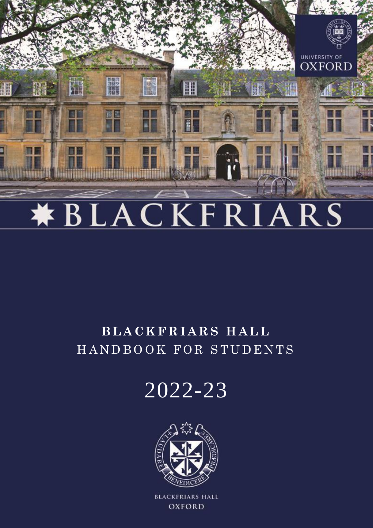

# **\*BLACKFRI**  $ARS$

# **B L A C K F R I A R S H A L L** H A N D B O O K F O R S T U D E N T S

2022-23



**BLACKFRIARS HALL OXFORD**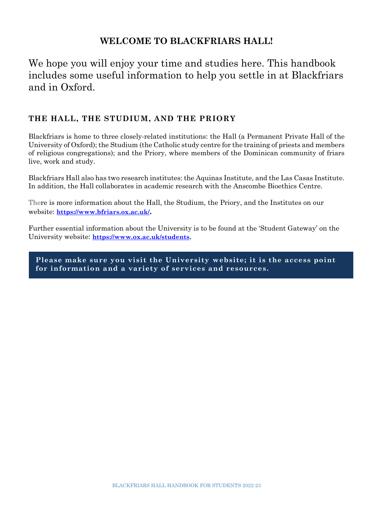### **WELCOME TO BLACKFRIARS HALL!**

## We hope you will enjoy your time and studies here. This handbook includes some useful information to help you settle in at Blackfriars and in Oxford.

#### **THE HALL, THE STUDIUM, AND THE PRIORY**

Blackfriars is home to three closely-related institutions: the Hall (a Permanent Private Hall of the University of Oxford); the Studium (the Catholic study centre for the training of priests and members of religious congregations); and the Priory, where members of the Dominican community of friars live, work and study.

Blackfriars Hall also has two research institutes: the Aquinas Institute, and the Las Casas Institute. In addition, the Hall collaborates in academic research with the Anscombe Bioethics Centre.

There is more information about the Hall, the Studium, the Priory, and the Institutes on our website: **<https://www.bfriars.ox.ac.uk/>.**

Further essential information about the University is to be found at the 'Student Gateway' on the University website: **[https://www.ox.ac.uk/students.](https://www.ox.ac.uk/students)**

**Please make sure you visit the University website; it is the access point for information and a variety of services and resources.**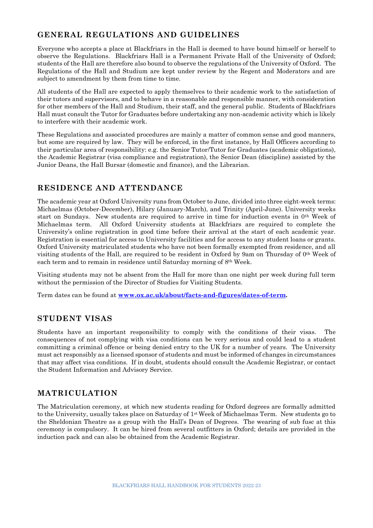#### **GENERAL REGULATIONS AND GUIDELINES**

Everyone who accepts a place at Blackfriars in the Hall is deemed to have bound himself or herself to observe the Regulations. Blackfriars Hall is a Permanent Private Hall of the University of Oxford; students of the Hall are therefore also bound to observe the regulations of the University of Oxford. The Regulations of the Hall and Studium are kept under review by the Regent and Moderators and are subject to amendment by them from time to time.

All students of the Hall are expected to apply themselves to their academic work to the satisfaction of their tutors and supervisors, and to behave in a reasonable and responsible manner, with consideration for other members of the Hall and Studium, their staff, and the general public. Students of Blackfriars Hall must consult the Tutor for Graduates before undertaking any non-academic activity which is likely to interfere with their academic work.

These Regulations and associated procedures are mainly a matter of common sense and good manners, but some are required by law. They will be enforced, in the first instance, by Hall Officers according to their particular area of responsibility: e.g. the Senior Tutor/Tutor for Graduates (academic obligations), the Academic Registrar (visa compliance and registration), the Senior Dean (discipline) assisted by the Junior Deans, the Hall Bursar (domestic and finance), and the Librarian.

#### **RESIDENCE AND ATTENDANCE**

The academic year at Oxford University runs from October to June, divided into three eight-week terms: Michaelmas (October-December), Hilary (January-March), and Trinity (April-June). University weeks start on Sundays. New students are required to arrive in time for induction events in 0th Week of Michaelmas term. All Oxford University students at Blackfriars are required to complete the University's online registration in good time before their arrival at the start of each academic year. Registration is essential for access to University facilities and for access to any student loans or grants. Oxford University matriculated students who have not been formally exempted from residence, and all visiting students of the Hall, are required to be resident in Oxford by 9am on Thursday of 0th Week of each term and to remain in residence until Saturday morning of 8th Week.

Visiting students may not be absent from the Hall for more than one night per week during full term without the permission of the Director of Studies for Visiting Students.

Term dates can be found at **[www.ox.ac.uk/about/facts-and-figures/dates-of-term.](http://www.ox.ac.uk/about/facts-and-figures/dates-of-term)**

#### **STUDENT VISAS**

Students have an important responsibility to comply with the conditions of their visas. The consequences of not complying with visa conditions can be very serious and could lead to a student committing a criminal offence or being denied entry to the UK for a number of years. The University must act responsibly as a licensed sponsor of students and must be informed of changes in circumstances that may affect visa conditions. If in doubt, students should consult the Academic Registrar, or contact the Student Information and Advisory Service.

#### **MATRICULATION**

The Matriculation ceremony, at which new students reading for Oxford degrees are formally admitted to the University, usually takes place on Saturday of 1st Week of Michaelmas Term. New students go to the Sheldonian Theatre as a group with the Hall's Dean of Degrees. The wearing of sub fusc at this ceremony is compulsory. It can be hired from several outfitters in Oxford; details are provided in the induction pack and can also be obtained from the Academic Registrar.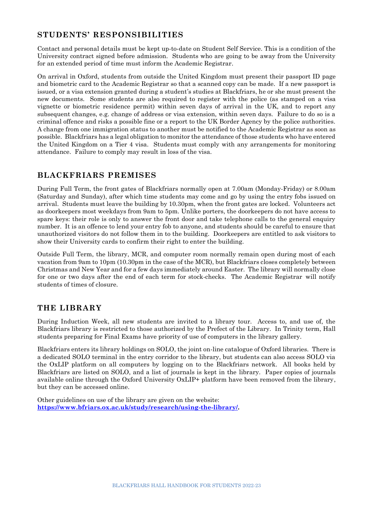#### **STUDENTS' RESPONSIBILITIES**

Contact and personal details must be kept up-to-date on Student Self Service. This is a condition of the University contract signed before admission. Students who are going to be away from the University for an extended period of time must inform the Academic Registrar.

On arrival in Oxford, students from outside the United Kingdom must present their passport ID page and biometric card to the Academic Registrar so that a scanned copy can be made. If a new passport is issued, or a visa extension granted during a student's studies at Blackfriars, he or she must present the new documents. Some students are also required to register with the police (as stamped on a visa vignette or biometric residence permit) within seven days of arrival in the UK, and to report any subsequent changes, e.g. change of address or visa extension, within seven days. Failure to do so is a criminal offence and risks a possible fine or a report to the UK Border Agency by the police authorities. A change from one immigration status to another must be notified to the Academic Registrar as soon as possible. Blackfriars has a legal obligation to monitor the attendance of those students who have entered the United Kingdom on a Tier 4 visa. Students must comply with any arrangements for monitoring attendance. Failure to comply may result in loss of the visa.

#### **BLACKFRIARS PREMISES**

During Full Term, the front gates of Blackfriars normally open at 7.00am (Monday-Friday) or 8.00am (Saturday and Sunday), after which time students may come and go by using the entry fobs issued on arrival. Students must leave the building by 10.30pm, when the front gates are locked. Volunteers act as doorkeepers most weekdays from 9am to 5pm. Unlike porters, the doorkeepers do not have access to spare keys: their role is only to answer the front door and take telephone calls to the general enquiry number. It is an offence to lend your entry fob to anyone, and students should be careful to ensure that unauthorized visitors do not follow them in to the building. Doorkeepers are entitled to ask visitors to show their University cards to confirm their right to enter the building.

Outside Full Term, the library, MCR, and computer room normally remain open during most of each vacation from 9am to 10pm (10.30pm in the case of the MCR), but Blackfriars closes completely between Christmas and New Year and for a few days immediately around Easter. The library will normally close for one or two days after the end of each term for stock-checks. The Academic Registrar will notify students of times of closure.

#### **THE LIBRARY**

During Induction Week, all new students are invited to a library tour. Access to, and use of, the Blackfriars library is restricted to those authorized by the Prefect of the Library. In Trinity term, Hall students preparing for Final Exams have priority of use of computers in the library gallery.

Blackfriars enters its library holdings on SOLO, the joint on-line catalogue of Oxford libraries. There is a dedicated SOLO terminal in the entry corridor to the library, but students can also access SOLO via the OxLIP platform on all computers by logging on to the Blackfriars network. All books held by Blackfriars are listed on SOLO, and a list of journals is kept in the library. Paper copies of journals available online through the Oxford University OxLIP+ platform have been removed from the library, but they can be accessed online.

Other guidelines on use of the library are given on the website: **[https://www.bfriars.ox.ac.uk/study/research/using-the-library/.](https://www.bfriars.ox.ac.uk/study/research/using-the-library/)**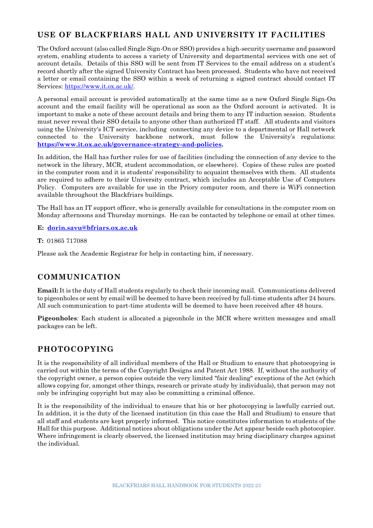#### **USE OF BLACKFRIARS HALL AND UNIVERSITY IT FACILITIES**

The Oxford account (also called Single Sign-On or SSO) provides a high-security username and password system, enabling students to access a variety of University and departmental services with one set of account details. Details of this SSO will be sent from IT Services to the email address on a student's record shortly after the signed University Contract has been processed. Students who have not received a letter or email containing the SSO within a week of returning a signed contract should contact IT Services: [https://www.it.ox.ac.uk/.](https://www.it.ox.ac.uk/)

A personal email account is provided automatically at the same time as a new Oxford Single Sign-On account and the email facility will be operational as soon as the Oxford account is activated. It is important to make a note of these account details and bring them to any IT induction session. Students must never reveal their SSO details to anyone other than authorized IT staff. All students and visitors using the University's ICT service, including connecting any device to a departmental or Hall network connected to the University backbone network, must follow the University's regulations: **[https://www.it.ox.ac.uk/governance-strategy-and-policies.](https://www.it.ox.ac.uk/governance-strategy-and-policies)**

In addition, the Hall has further rules for use of facilities (including the connection of any device to the network in the library, MCR, student accommodation, or elsewhere). Copies of these rules are posted in the computer room and it is students' responsibility to acquaint themselves with them. All students are required to adhere to their University contract, which includes an Acceptable Use of Computers Policy. Computers are available for use in the Priory computer room, and there is WiFi connection available throughout the Blackfriars buildings.

The Hall has an IT support officer, who is generally available for consultations in the computer room on Monday afternoons and Thursday mornings. He can be contacted by telephone or email at other times.

#### **E: [dorin.savu@bfriars.ox.ac.uk](mailto:dorin.savu@bfriars.ox.ac.uk)**

**T:** 01865 717088

Please ask the Academic Registrar for help in contacting him, if necessary.

#### **COMMUNICATION**

**Email:** It is the duty of Hall students regularly to check their incoming mail. Communications delivered to pigeonholes or sent by email will be deemed to have been received by full-time students after 24 hours. All such communication to part-time students will be deemed to have been received after 48 hours.

**Pigeonholes**: Each student is allocated a pigeonhole in the MCR where written messages and small packages can be left.

#### **PHOTOCOPYING**

It is the responsibility of all individual members of the Hall or Studium to ensure that photocopying is carried out within the terms of the Copyright Designs and Patent Act 1988. If, without the authority of the copyright owner, a person copies outside the very limited "fair dealing" exceptions of the Act (which allows copying for, amongst other things, research or private study by individuals), that person may not only be infringing copyright but may also be committing a criminal offence.

It is the responsibility of the individual to ensure that his or her photocopying is lawfully carried out. In addition, it is the duty of the licensed institution (in this case the Hall and Studium) to ensure that all staff and students are kept properly informed. This notice constitutes information to students of the Hall for this purpose. Additional notices about obligations under the Act appear beside each photocopier. Where infringement is clearly observed, the licensed institution may bring disciplinary charges against the individual.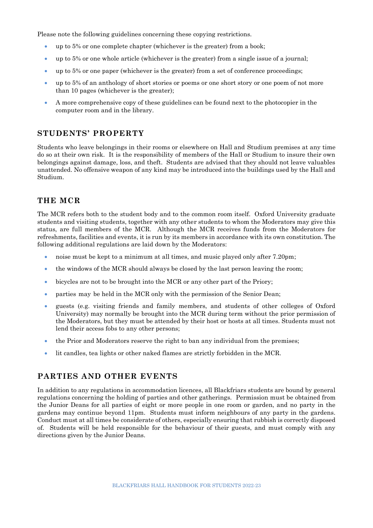Please note the following guidelines concerning these copying restrictions.

- up to 5% or one complete chapter (whichever is the greater) from a book;
- up to 5% or one whole article (whichever is the greater) from a single issue of a journal;
- up to 5% or one paper (whichever is the greater) from a set of conference proceedings;
- up to 5% of an anthology of short stories or poems or one short story or one poem of not more than 10 pages (whichever is the greater);
- A more comprehensive copy of these guidelines can be found next to the photocopier in the computer room and in the library.

#### **STUDENTS' PROPERTY**

Students who leave belongings in their rooms or elsewhere on Hall and Studium premises at any time do so at their own risk. It is the responsibility of members of the Hall or Studium to insure their own belongings against damage, loss, and theft. Students are advised that they should not leave valuables unattended. No offensive weapon of any kind may be introduced into the buildings used by the Hall and Studium.

#### **THE MCR**

The MCR refers both to the student body and to the common room itself. Oxford University graduate students and visiting students, together with any other students to whom the Moderators may give this status, are full members of the MCR. Although the MCR receives funds from the Moderators for refreshments, facilities and events, it is run by its members in accordance with its own constitution. The following additional regulations are laid down by the Moderators:

- noise must be kept to a minimum at all times, and music played only after 7.20pm;
- the windows of the MCR should always be closed by the last person leaving the room;
- bicycles are not to be brought into the MCR or any other part of the Priory;
- parties may be held in the MCR only with the permission of the Senior Dean;
- guests (e.g. visiting friends and family members, and students of other colleges of Oxford University) may normally be brought into the MCR during term without the prior permission of the Moderators, but they must be attended by their host or hosts at all times. Students must not lend their access fobs to any other persons;
- the Prior and Moderators reserve the right to ban any individual from the premises;
- lit candles, tea lights or other naked flames are strictly forbidden in the MCR.

#### **PARTIES AND OTHER EVENTS**

In addition to any regulations in accommodation licences, all Blackfriars students are bound by general regulations concerning the holding of parties and other gatherings. Permission must be obtained from the Junior Deans for all parties of eight or more people in one room or garden, and no party in the gardens may continue beyond 11pm. Students must inform neighbours of any party in the gardens. Conduct must at all times be considerate of others, especially ensuring that rubbish is correctly disposed of. Students will be held responsible for the behaviour of their guests, and must comply with any directions given by the Junior Deans.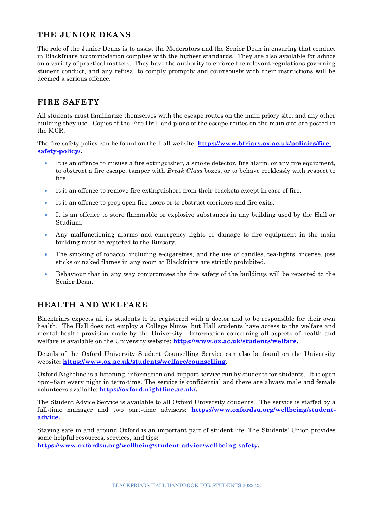#### **THE JUNIOR DEANS**

The role of the Junior Deans is to assist the Moderators and the Senior Dean in ensuring that conduct in Blackfriars accommodation complies with the highest standards. They are also available for advice on a variety of practical matters. They have the authority to enforce the relevant regulations governing student conduct, and any refusal to comply promptly and courteously with their instructions will be deemed a serious offence.

#### **FIRE SAFETY**

All students must familiarize themselves with the escape routes on the main priory site, and any other building they use. Copies of the Fire Drill and plans of the escape routes on the main site are posted in the MCR.

The fire safety policy can be found on the Hall website: **[https://www.bfriars.ox.ac.uk/policies/fire](https://www.bfriars.ox.ac.uk/policies/fire-safety-policy/)[safety-policy/.](https://www.bfriars.ox.ac.uk/policies/fire-safety-policy/)**

- It is an offence to misuse a fire extinguisher, a smoke detector, fire alarm, or any fire equipment, to obstruct a fire escape, tamper with *Break Glass* boxes, or to behave recklessly with respect to fire.
- It is an offence to remove fire extinguishers from their brackets except in case of fire.
- It is an offence to prop open fire doors or to obstruct corridors and fire exits.
- It is an offence to store flammable or explosive substances in any building used by the Hall or Studium.
- Any malfunctioning alarms and emergency lights or damage to fire equipment in the main building must be reported to the Bursary.
- The smoking of tobacco, including e-cigarettes, and the use of candles, tea-lights, incense, joss sticks or naked flames in any room at Blackfriars are strictly prohibited.
- Behaviour that in any way compromises the fire safety of the buildings will be reported to the Senior Dean.

#### **HEALTH AND WELFARE**

Blackfriars expects all its students to be registered with a doctor and to be responsible for their own health. The Hall does not employ a College Nurse, but Hall students have access to the welfare and mental health provision made by the University. Information concerning all aspects of health and welfare is available on the University website: **<https://www.ox.ac.uk/students/welfare>**.

Details of the Oxford University Student Counselling Service can also be found on the University website: **[https://www.ox.ac.uk/students/welfare/counselling.](https://www.ox.ac.uk/students/welfare/counselling)**

Oxford Nightline is a listening, information and support service run by students for students. It is open 8pm–8am every night in term-time. The service is confidential and there are always male and female volunteers available: **[https://oxford.nightline.ac.uk/.](https://oxford.nightline.ac.uk/)**

The Student Advice Service is available to all Oxford University Students. The service is staffed by a full-time manager and two part-time advisers: **[https://www.oxfordsu.org/wellbeing/student](https://www.oxfordsu.org/wellbeing/student-advice)[advice.](https://www.oxfordsu.org/wellbeing/student-advice)**

Staying safe in and around Oxford is an important part of student life. The Students' Union provides some helpful resources, services, and tips: **[https://www.oxfordsu.org/wellbeing/student-advice/wellbeing-safety.](https://www.oxfordsu.org/wellbeing/student-advice/wellbeing-safety)**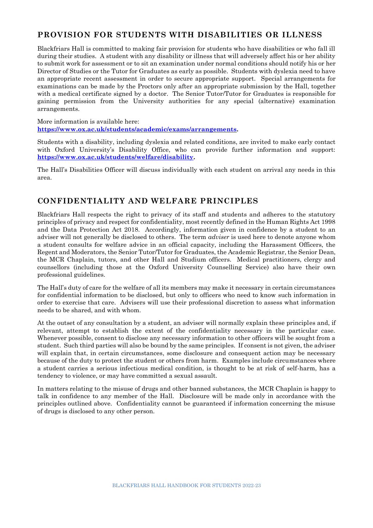#### **PROVISION FOR STUDENTS WITH DISABILITIES OR ILLNESS**

Blackfriars Hall is committed to making fair provision for students who have disabilities or who fall ill during their studies. A student with any disability or illness that will adversely affect his or her ability to submit work for assessment or to sit an examination under normal conditions should notify his or her Director of Studies or the Tutor for Graduates as early as possible. Students with dyslexia need to have an appropriate recent assessment in order to secure appropriate support. Special arrangements for examinations can be made by the Proctors only after an appropriate submission by the Hall, together with a medical certificate signed by a doctor. The Senior Tutor/Tutor for Graduates is responsible for gaining permission from the University authorities for any special (alternative) examination arrangements.

More information is available here: **[https://www.ox.ac.uk/students/academic/exams/arrangements.](https://www.ox.ac.uk/students/academic/exams/arrangements)**

Students with a disability, including dyslexia and related conditions, are invited to make early contact with Oxford University's Disability Office, who can provide further information and support: **[https://www.ox.ac.uk/students/welfare/disability.](https://www.ox.ac.uk/students/welfare/disability)**

The Hall's Disabilities Officer will discuss individually with each student on arrival any needs in this area.

#### **CONFIDENTIALITY AND WELFARE PRINCIPLES**

Blackfriars Hall respects the right to privacy of its staff and students and adheres to the statutory principles of privacy and respect for confidentiality, most recently defined in the Human Rights Act 1998 and the Data Protection Act 2018. Accordingly, information given in confidence by a student to an adviser will not generally be disclosed to others. The term *adviser* is used here to denote anyone whom a student consults for welfare advice in an official capacity, including the Harassment Officers, the Regent and Moderators, the Senior Tutor/Tutor for Graduates, the Academic Registrar, the Senior Dean, the MCR Chaplain, tutors, and other Hall and Studium officers. Medical practitioners, clergy and counsellors (including those at the Oxford University Counselling Service) also have their own professional guidelines.

The Hall's duty of care for the welfare of all its members may make it necessary in certain circumstances for confidential information to be disclosed, but only to officers who need to know such information in order to exercise that care. Advisers will use their professional discretion to assess what information needs to be shared, and with whom.

At the outset of any consultation by a student, an adviser will normally explain these principles and, if relevant, attempt to establish the extent of the confidentiality necessary in the particular case. Whenever possible, consent to disclose any necessary information to other officers will be sought from a student. Such third parties will also be bound by the same principles. If consent is not given, the adviser will explain that, in certain circumstances, some disclosure and consequent action may be necessary because of the duty to protect the student or others from harm. Examples include circumstances where a student carries a serious infectious medical condition, is thought to be at risk of self-harm, has a tendency to violence, or may have committed a sexual assault.

In matters relating to the misuse of drugs and other banned substances, the MCR Chaplain is happy to talk in confidence to any member of the Hall. Disclosure will be made only in accordance with the principles outlined above. Confidentiality cannot be guaranteed if information concerning the misuse of drugs is disclosed to any other person.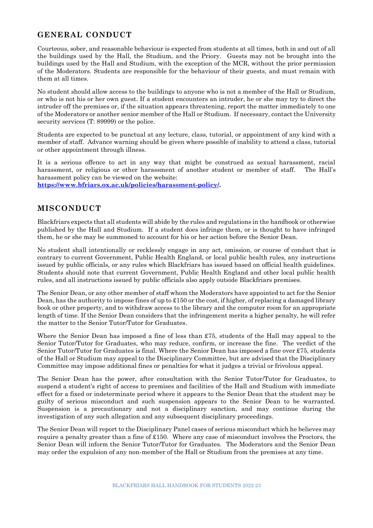#### **GENERAL CONDUCT**

Courteous, sober, and reasonable behaviour is expected from students at all times, both in and out of all the buildings used by the Hall, the Studium, and the Priory. Guests may not be brought into the buildings used by the Hall and Studium, with the exception of the MCR, without the prior permission of the Moderators. Students are responsible for the behaviour of their guests, and must remain with them at all times.

No student should allow access to the buildings to anyone who is not a member of the Hall or Studium, or who is not his or her own guest. If a student encounters an intruder, he or she may try to direct the intruder off the premises or, if the situation appears threatening, report the matter immediately to one of the Moderators or another senior member of the Hall or Studium. If necessary, contact the University security services (T: 89999) or the police.

Students are expected to be punctual at any lecture, class, tutorial, or appointment of any kind with a member of staff. Advance warning should be given where possible of inability to attend a class, tutorial or other appointment through illness.

It is a serious offence to act in any way that might be construed as sexual harassment, racial harassment, or religious or other harassment of another student or member of staff. The Hall's harassment policy can be viewed on the website:

**[https://www.bfriars.ox.ac.uk/policies/harassment-policy/.](https://www.bfriars.ox.ac.uk/policies/harassment-policy/)**

#### **MISCONDUCT**

Blackfriars expects that all students will abide by the rules and regulations in the handbook or otherwise published by the Hall and Studium. If a student does infringe them, or is thought to have infringed them, he or she may be summoned to account for his or her action before the Senior Dean.

No student shall intentionally or recklessly engage in any act, omission, or course of conduct that is contrary to current Government, Public Health England, or local public health rules, any instructions issued by public officials, or any rules which Blackfriars has issued based on official health guidelines. Students should note that current Government, Public Health England and other local public health rules, and all instructions issued by public officials also apply outside Blackfriars premises.

The Senior Dean, or any other member of staff whom the Moderators have appointed to act for the Senior Dean, has the authority to impose fines of up to £150 or the cost, if higher, of replacing a damaged library book or other property, and to withdraw access to the library and the computer room for an appropriate length of time. If the Senior Dean considers that the infringement merits a higher penalty, he will refer the matter to the Senior Tutor/Tutor for Graduates.

Where the Senior Dean has imposed a fine of less than £75, students of the Hall may appeal to the Senior Tutor/Tutor for Graduates, who may reduce, confirm, or increase the fine. The verdict of the Senior Tutor/Tutor for Graduates is final. Where the Senior Dean has imposed a fine over £75, students of the Hall or Studium may appeal to the Disciplinary Committee, but are advised that the Disciplinary Committee may impose additional fines or penalties for what it judges a trivial or frivolous appeal.

The Senior Dean has the power, after consultation with the Senior Tutor/Tutor for Graduates, to suspend a student's right of access to premises and facilities of the Hall and Studium with immediate effect for a fixed or indeterminate period where it appears to the Senior Dean that the student may be guilty of serious misconduct and such suspension appears to the Senior Dean to be warranted. Suspension is a precautionary and not a disciplinary sanction, and may continue during the investigation of any such allegation and any subsequent disciplinary proceedings.

The Senior Dean will report to the Disciplinary Panel cases of serious misconduct which he believes may require a penalty greater than a fine of £150. Where any case of misconduct involves the Proctors, the Senior Dean will inform the Senior Tutor/Tutor for Graduates. The Moderators and the Senior Dean may order the expulsion of any non-member of the Hall or Studium from the premises at any time.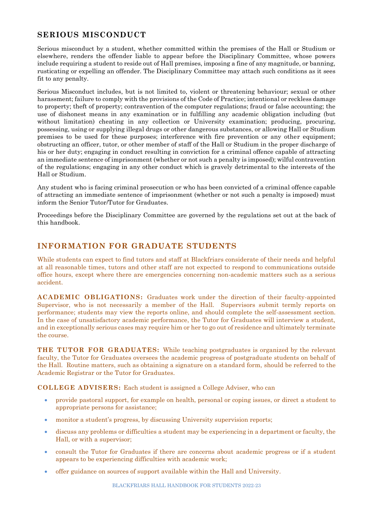#### **SERIOUS MISCONDUCT**

Serious misconduct by a student, whether committed within the premises of the Hall or Studium or elsewhere, renders the offender liable to appear before the Disciplinary Committee, whose powers include requiring a student to reside out of Hall premises, imposing a fine of any magnitude, or banning, rusticating or expelling an offender. The Disciplinary Committee may attach such conditions as it sees fit to any penalty.

Serious Misconduct includes, but is not limited to, violent or threatening behaviour; sexual or other harassment; failure to comply with the provisions of the Code of Practice; intentional or reckless damage to property; theft of property; contravention of the computer regulations; fraud or false accounting; the use of dishonest means in any examination or in fulfilling any academic obligation including (but without limitation) cheating in any collection or University examination; producing, procuring, possessing, using or supplying illegal drugs or other dangerous substances, or allowing Hall or Studium premises to be used for these purposes; interference with fire prevention or any other equipment; obstructing an officer, tutor, or other member of staff of the Hall or Studium in the proper discharge of his or her duty; engaging in conduct resulting in conviction for a criminal offence capable of attracting an immediate sentence of imprisonment (whether or not such a penalty is imposed); wilful contravention of the regulations; engaging in any other conduct which is gravely detrimental to the interests of the Hall or Studium.

Any student who is facing criminal prosecution or who has been convicted of a criminal offence capable of attracting an immediate sentence of imprisonment (whether or not such a penalty is imposed) must inform the Senior Tutor/Tutor for Graduates.

Proceedings before the Disciplinary Committee are governed by the regulations set out at the back of this handbook.

#### **INFORMATION FOR GRADUATE STUDENTS**

While students can expect to find tutors and staff at Blackfriars considerate of their needs and helpful at all reasonable times, tutors and other staff are not expected to respond to communications outside office hours, except where there are emergencies concerning non-academic matters such as a serious accident.

**ACADEMIC OBLIGATIONS:** Graduates work under the direction of their faculty-appointed Supervisor, who is not necessarily a member of the Hall. Supervisors submit termly reports on performance; students may view the reports online, and should complete the self-assessment section. In the case of unsatisfactory academic performance, the Tutor for Graduates will interview a student, and in exceptionally serious cases may require him or her to go out of residence and ultimately terminate the course.

**THE TUTOR FOR GRADUATES:** While teaching postgraduates is organized by the relevant faculty, the Tutor for Graduates oversees the academic progress of postgraduate students on behalf of the Hall. Routine matters, such as obtaining a signature on a standard form, should be referred to the Academic Registrar or the Tutor for Graduates.

**COLLEGE ADVISERS:** Each student is assigned a College Adviser, who can

- provide pastoral support, for example on health, personal or coping issues, or direct a student to appropriate persons for assistance;
- monitor a student's progress, by discussing University supervision reports;
- discuss any problems or difficulties a student may be experiencing in a department or faculty, the Hall, or with a supervisor;
- consult the Tutor for Graduates if there are concerns about academic progress or if a student appears to be experiencing difficulties with academic work;
- offer guidance on sources of support available within the Hall and University.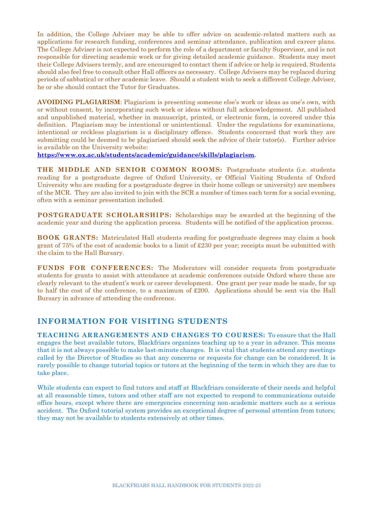In addition, the College Adviser may be able to offer advice on academic-related matters such as applications for research funding, conferences and seminar attendance, publication and career plans. The College Adviser is not expected to perform the role of a department or faculty Supervisor, and is not responsible for directing academic work or for giving detailed academic guidance. Students may meet their College Advisers termly, and are encouraged to contact them if advice or help is required. Students should also feel free to consult other Hall officers as necessary. College Advisers may be replaced during periods of sabbatical or other academic leave. Should a student wish to seek a different College Adviser, he or she should contact the Tutor for Graduates.

**AVOIDING PLAGIARISM**: Plagiarism is presenting someone else's work or ideas as one's own, with or without consent, by incorporating such work or ideas without full acknowledgement. All published and unpublished material, whether in manuscript, printed, or electronic form, is covered under this definition. Plagiarism may be intentional or unintentional. Under the regulations for examinations, intentional or reckless plagiarism is a disciplinary offence. Students concerned that work they are submitting could be deemed to be plagiarised should seek the advice of their tutor(s). Further advice is available on the University website:

**[https://www.ox.ac.uk/students/academic/guidance/skills/plagiarism.](https://www.ox.ac.uk/students/academic/guidance/skills/plagiarism)**

**THE MIDDLE AND SENIOR COMMON ROOMS:** Postgraduate students (i.e. students reading for a postgraduate degree of Oxford University, or Official Visiting Students of Oxford University who are reading for a postgraduate degree in their home college or university) are members of the MCR. They are also invited to join with the SCR a number of times each term for a social evening, often with a seminar presentation included.

**POSTGRADUATE SCHOLARSHIPS:** Scholarships may be awarded at the beginning of the academic year and during the application process. Students will be notified of the application process.

**BOOK GRANTS:** Matriculated Hall students reading for postgraduate degrees may claim a book grant of 75% of the cost of academic books to a limit of £230 per year; receipts must be submitted with the claim to the Hall Bursary.

**FUNDS FOR CONFERENCES:** The Moderators will consider requests from postgraduate students for grants to assist with attendance at academic conferences outside Oxford where these are clearly relevant to the student's work or career development. One grant per year made be made, for up to half the cost of the conference, to a maximum of £200. Applications should be sent via the Hall Bursary in advance of attending the conference.

#### **INFORMATION FOR VISITING STUDENTS**

**TEACHING ARRANGEMENTS AND CHANGES TO COURSES:** To ensure that the Hall engages the best available tutors, Blackfriars organizes teaching up to a year in advance. This means that it is not always possible to make last-minute changes. It is vital that students attend any meetings called by the Director of Studies so that any concerns or requests for change can be considered. It is rarely possible to change tutorial topics or tutors at the beginning of the term in which they are due to take place.

While students can expect to find tutors and staff at Blackfriars considerate of their needs and helpful at all reasonable times, tutors and other staff are not expected to respond to communications outside office hours, except where there are emergencies concerning non-academic matters such as a serious accident. The Oxford tutorial system provides an exceptional degree of personal attention from tutors; they may not be available to students extensively at other times.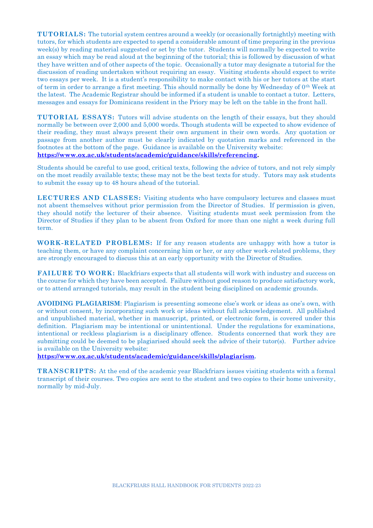**TUTORIALS:** The tutorial system centres around a weekly (or occasionally fortnightly) meeting with tutors, for which students are expected to spend a considerable amount of time preparing in the previous week(s) by reading material suggested or set by the tutor. Students will normally be expected to write an essay which may be read aloud at the beginning of the tutorial; this is followed by discussion of what they have written and of other aspects of the topic. Occasionally a tutor may designate a tutorial for the discussion of reading undertaken without requiring an essay. Visiting students should expect to write two essays per week. It is a student's responsibility to make contact with his or her tutors at the start of term in order to arrange a first meeting. This should normally be done by Wednesday of 0th Week at the latest. The Academic Registrar should be informed if a student is unable to contact a tutor. Letters, messages and essays for Dominicans resident in the Priory may be left on the table in the front hall.

**TUTORIAL ESSAYS:** Tutors will advise students on the length of their essays, but they should normally be between over 2,000 and 5,000 words. Though students will be expected to show evidence of their reading, they must always present their own argument in their own words. Any quotation or passage from another author must be clearly indicated by quotation marks and referenced in the footnotes at the bottom of the page. Guidance is available on the University website: **[https://www.ox.ac.uk/students/academic/guidance/skills/referencing.](https://www.ox.ac.uk/students/academic/guidance/skills/referencing)**

Students should be careful to use good, critical texts, following the advice of tutors, and not rely simply on the most readily available texts; these may not be the best texts for study. Tutors may ask students to submit the essay up to 48 hours ahead of the tutorial.

**LECTURES AND CLASSES:** Visiting students who have compulsory lectures and classes must not absent themselves without prior permission from the Director of Studies. If permission is given, they should notify the lecturer of their absence. Visiting students must seek permission from the Director of Studies if they plan to be absent from Oxford for more than one night a week during full term.

**WORK-RELATED PROBLEMS:** If for any reason students are unhappy with how a tutor is teaching them, or have any complaint concerning him or her, or any other work-related problems, they are strongly encouraged to discuss this at an early opportunity with the Director of Studies.

**FAILURE TO WORK:** Blackfriars expects that all students will work with industry and success on the course for which they have been accepted. Failure without good reason to produce satisfactory work, or to attend arranged tutorials, may result in the student being disciplined on academic grounds.

**AVOIDING PLAGIARISM**: Plagiarism is presenting someone else's work or ideas as one's own, with or without consent, by incorporating such work or ideas without full acknowledgement. All published and unpublished material, whether in manuscript, printed, or electronic form, is covered under this definition. Plagiarism may be intentional or unintentional. Under the regulations for examinations, intentional or reckless plagiarism is a disciplinary offence. Students concerned that work they are submitting could be deemed to be plagiarised should seek the advice of their tutor(s). Further advice is available on the University website:

**[https://www.ox.ac.uk/students/academic/guidance/skills/plagiarism.](https://www.ox.ac.uk/students/academic/guidance/skills/plagiarism)**

**TRANSCRIPTS:** At the end of the academic year Blackfriars issues visiting students with a formal transcript of their courses. Two copies are sent to the student and two copies to their home university, normally by mid-July.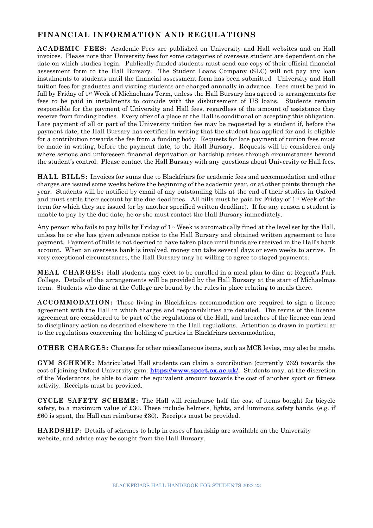#### **FINANCIAL INFORMATION AND REGULATIONS**

**ACADEMIC FEES:** Academic Fees are published on University and Hall websites and on Hall invoices. Please note that University fees for some categories of overseas student are dependent on the date on which studies begin. Publically-funded students must send one copy of their official financial assessment form to the Hall Bursary. The Student Loans Company (SLC) will not pay any loan instalments to students until the financial assessment form has been submitted. University and Hall tuition fees for graduates and visiting students are charged annually in advance. Fees must be paid in full by Friday of 1st Week of Michaelmas Term, unless the Hall Bursary has agreed to arrangements for fees to be paid in instalments to coincide with the disbursement of US loans. Students remain responsible for the payment of University and Hall fees, regardless of the amount of assistance they receive from funding bodies. Every offer of a place at the Hall is conditional on accepting this obligation. Late payment of all or part of the University tuition fee may be requested by a student if, before the payment date, the Hall Bursary has certified in writing that the student has applied for and is eligible for a contribution towards the fee from a funding body. Requests for late payment of tuition fees must be made in writing, before the payment date, to the Hall Bursary. Requests will be considered only where serious and unforeseen financial deprivation or hardship arises through circumstances beyond the student's control. Please contact the Hall Bursary with any questions about University or Hall fees.

**HALL BILLS:** Invoices for sums due to Blackfriars for academic fees and accommodation and other charges are issued some weeks before the beginning of the academic year, or at other points through the year. Students will be notified by email of any outstanding bills at the end of their studies in Oxford and must settle their account by the due deadlines. All bills must be paid by Friday of 1st Week of the term for which they are issued (or by another specified written deadline). If for any reason a student is unable to pay by the due date, he or she must contact the Hall Bursary immediately.

Any person who fails to pay bills by Friday of 1<sup>st</sup> Week is automatically fined at the level set by the Hall, unless he or she has given advance notice to the Hall Bursary and obtained written agreement to late payment. Payment of bills is not deemed to have taken place until funds are received in the Hall's bank account. When an overseas bank is involved, money can take several days or even weeks to arrive. In very exceptional circumstances, the Hall Bursary may be willing to agree to staged payments.

**MEAL CHARGES:** Hall students may elect to be enrolled in a meal plan to dine at Regent's Park College. Details of the arrangements will be provided by the Hall Bursary at the start of Michaelmas term. Students who dine at the College are bound by the rules in place relating to meals there.

**ACCOMMODATION:** Those living in Blackfriars accommodation are required to sign a licence agreement with the Hall in which charges and responsibilities are detailed. The terms of the licence agreement are considered to be part of the regulations of the Hall, and breaches of the licence can lead to disciplinary action as described elsewhere in the Hall regulations. Attention is drawn in particular to the regulations concerning the holding of parties in Blackfriars accommodation,

**OTHER CHARGES:** Charges for other miscellaneous items, such as MCR levies, may also be made.

**GYM SCHEME:** Matriculated Hall students can claim a contribution (currently £62) towards the cost of joining Oxford University gym: **[https://www.sport.ox.ac.uk/.](https://www.sport.ox.ac.uk/)** Students may, at the discretion of the Moderators, be able to claim the equivalent amount towards the cost of another sport or fitness activity. Receipts must be provided.

**CYCLE SAFETY SCHEME:** The Hall will reimburse half the cost of items bought for bicycle safety, to a maximum value of £30. These include helmets, lights, and luminous safety bands. (e.g. if £60 is spent, the Hall can reimburse £30). Receipts must be provided.

**HARDSHIP:** Details of schemes to help in cases of hardship are available on the University website, and advice may be sought from the Hall Bursary.